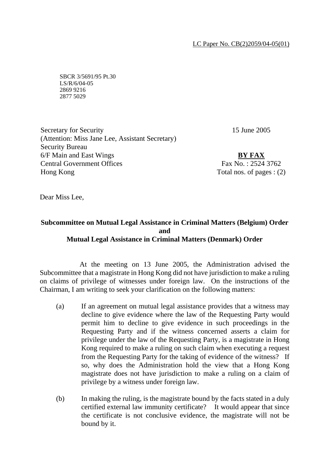SBCR 3/5691/95 Pt.30 LS/R/6/04-05 2869 9216 2877 5029

15 June 2005

Secretary for Security (Attention: Miss Jane Lee, Assistant Secretary) Security Bureau 6/F Main and East Wings Central Government Offices Hong Kong

**BY FAX** Fax No. : 2524 3762 Total nos. of pages : (2)

Dear Miss Lee,

## **Subcommittee on Mutual Legal Assistance in Criminal Matters (Belgium) Order and Mutual Legal Assistance in Criminal Matters (Denmark) Order**

 At the meeting on 13 June 2005, the Administration advised the Subcommittee that a magistrate in Hong Kong did not have jurisdiction to make a ruling on claims of privilege of witnesses under foreign law. On the instructions of the Chairman, I am writing to seek your clarification on the following matters:

- (a) If an agreement on mutual legal assistance provides that a witness may decline to give evidence where the law of the Requesting Party would permit him to decline to give evidence in such proceedings in the Requesting Party and if the witness concerned asserts a claim for privilege under the law of the Requesting Party, is a magistrate in Hong Kong required to make a ruling on such claim when executing a request from the Requesting Party for the taking of evidence of the witness? If so, why does the Administration hold the view that a Hong Kong magistrate does not have jurisdiction to make a ruling on a claim of privilege by a witness under foreign law.
- (b) In making the ruling, is the magistrate bound by the facts stated in a duly certified external law immunity certificate? It would appear that since the certificate is not conclusive evidence, the magistrate will not be bound by it.